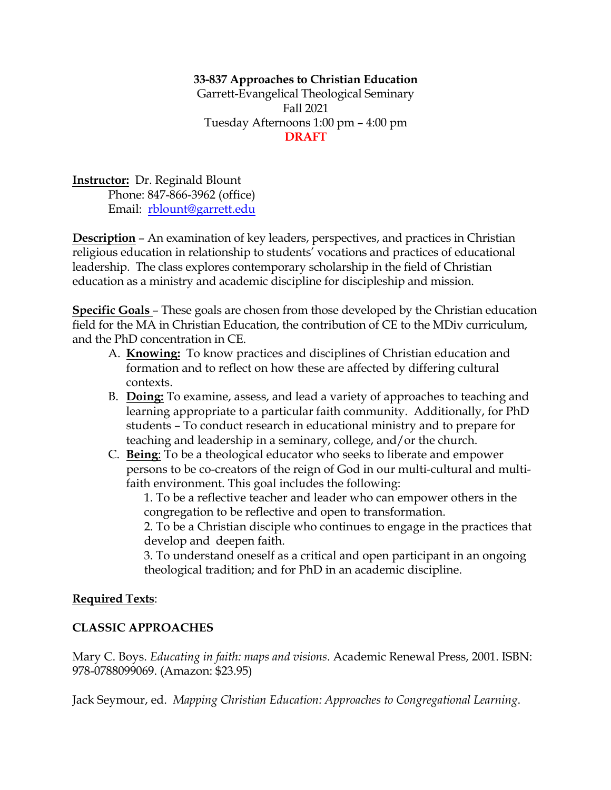### **33-837 Approaches to Christian Education**

Garrett-Evangelical Theological Seminary Fall 2021 Tuesday Afternoons 1:00 pm – 4:00 pm **DRAFT**

**Instructor:** Dr. Reginald Blount Phone: 847-866-3962 (office) Email: rblount@garrett.edu

**Description** – An examination of key leaders, perspectives, and practices in Christian religious education in relationship to students' vocations and practices of educational leadership. The class explores contemporary scholarship in the field of Christian education as a ministry and academic discipline for discipleship and mission.

**Specific Goals** – These goals are chosen from those developed by the Christian education field for the MA in Christian Education, the contribution of CE to the MDiv curriculum, and the PhD concentration in CE.

- A. **Knowing:** To know practices and disciplines of Christian education and formation and to reflect on how these are affected by differing cultural contexts.
- B. **Doing:** To examine, assess, and lead a variety of approaches to teaching and learning appropriate to a particular faith community. Additionally, for PhD students – To conduct research in educational ministry and to prepare for teaching and leadership in a seminary, college, and/or the church.
- C. **Being**: To be a theological educator who seeks to liberate and empower persons to be co-creators of the reign of God in our multi-cultural and multifaith environment. This goal includes the following:

1. To be a reflective teacher and leader who can empower others in the congregation to be reflective and open to transformation.

2. To be a Christian disciple who continues to engage in the practices that develop and deepen faith.

3. To understand oneself as a critical and open participant in an ongoing theological tradition; and for PhD in an academic discipline.

### **Required Texts**:

### **CLASSIC APPROACHES**

Mary C. Boys. *Educating in faith: maps and visions*. Academic Renewal Press, 2001. ISBN: 978-0788099069. (Amazon: \$23.95)

Jack Seymour, ed. *Mapping Christian Education: Approaches to Congregational Learning*.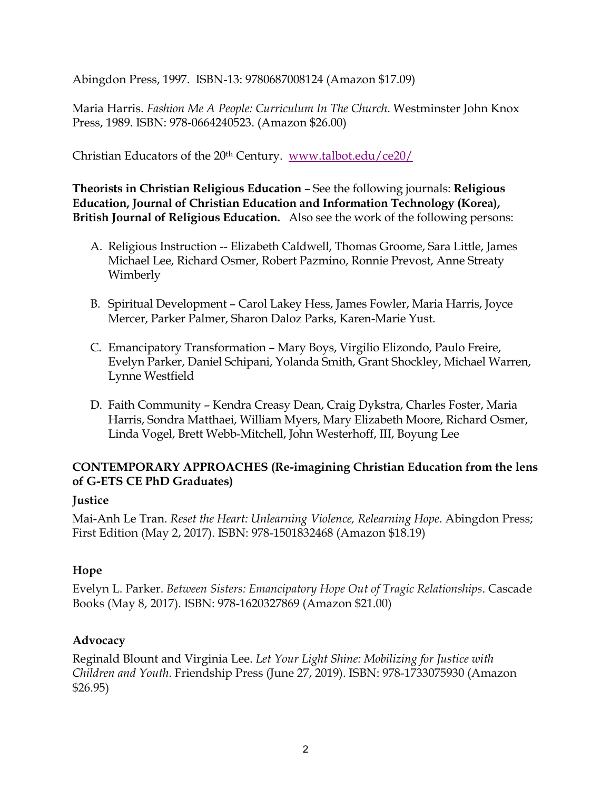Abingdon Press, 1997. ISBN-13: 9780687008124 (Amazon \$17.09)

Maria Harris. *Fashion Me A People: Curriculum In The Church*. Westminster John Knox Press, 1989. ISBN: 978-0664240523. (Amazon \$26.00)

Christian Educators of the 20th Century. www.talbot.edu/ce20/

**Theorists in Christian Religious Education** – See the following journals: **Religious Education, Journal of Christian Education and Information Technology (Korea), British Journal of Religious Education.** Also see the work of the following persons:

- A. Religious Instruction -- Elizabeth Caldwell, Thomas Groome, Sara Little, James Michael Lee, Richard Osmer, Robert Pazmino, Ronnie Prevost, Anne Streaty Wimberly
- B. Spiritual Development Carol Lakey Hess, James Fowler, Maria Harris, Joyce Mercer, Parker Palmer, Sharon Daloz Parks, Karen-Marie Yust.
- C. Emancipatory Transformation Mary Boys, Virgilio Elizondo, Paulo Freire, Evelyn Parker, Daniel Schipani, Yolanda Smith, Grant Shockley, Michael Warren, Lynne Westfield
- D. Faith Community Kendra Creasy Dean, Craig Dykstra, Charles Foster, Maria Harris, Sondra Matthaei, William Myers, Mary Elizabeth Moore, Richard Osmer, Linda Vogel, Brett Webb-Mitchell, John Westerhoff, III, Boyung Lee

## **CONTEMPORARY APPROACHES (Re-imagining Christian Education from the lens of G-ETS CE PhD Graduates)**

## **Justice**

Mai-Anh Le Tran. *Reset the Heart: Unlearning Violence, Relearning Hope*. Abingdon Press; First Edition (May 2, 2017). ISBN: 978-1501832468 (Amazon \$18.19)

## **Hope**

Evelyn L. Parker. *Between Sisters: Emancipatory Hope Out of Tragic Relationships*. Cascade Books (May 8, 2017). ISBN: 978-1620327869 (Amazon \$21.00)

## **Advocacy**

Reginald Blount and Virginia Lee. *Let Your Light Shine: Mobilizing for Justice with Children and Youth*. Friendship Press (June 27, 2019). ISBN: 978-1733075930 (Amazon \$26.95)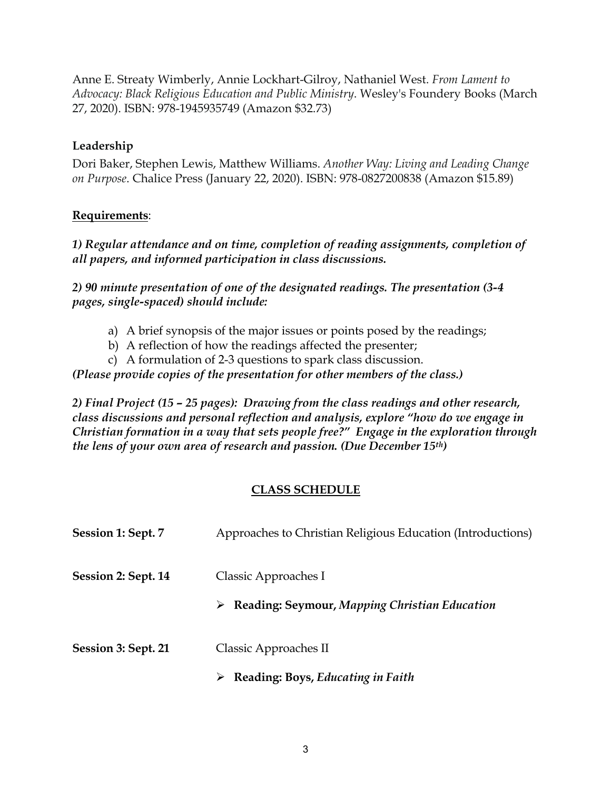Anne E. Streaty Wimberly, Annie Lockhart-Gilroy, Nathaniel West. *From Lament to Advocacy: Black Religious Education and Public Ministry*. Wesley's Foundery Books (March 27, 2020). ISBN: 978-1945935749 (Amazon \$32.73)

## **Leadership**

Dori Baker, Stephen Lewis, Matthew Williams. *Another Way: Living and Leading Change on Purpose*. Chalice Press (January 22, 2020). ISBN: 978-0827200838 (Amazon \$15.89)

## **Requirements**:

*1) Regular attendance and on time, completion of reading assignments, completion of all papers, and informed participation in class discussions.*

*2) 90 minute presentation of one of the designated readings. The presentation (3-4 pages, single-spaced) should include:*

- a) A brief synopsis of the major issues or points posed by the readings;
- b) A reflection of how the readings affected the presenter;
- c) A formulation of 2-3 questions to spark class discussion.

*(Please provide copies of the presentation for other members of the class.)*

*2) Final Project (15 – 25 pages): Drawing from the class readings and other research, class discussions and personal reflection and analysis, explore "how do we engage in Christian formation in a way that sets people free?" Engage in the exploration through the lens of your own area of research and passion. (Due December 15th)*

# **CLASS SCHEDULE**

| Session 1: Sept. 7  | Approaches to Christian Religious Education (Introductions)                            |
|---------------------|----------------------------------------------------------------------------------------|
| Session 2: Sept. 14 | Classic Approaches I<br>$\triangleright$ Reading: Seymour, Mapping Christian Education |
| Session 3: Sept. 21 | Classic Approaches II<br>Reading: Boys, Educating in Faith                             |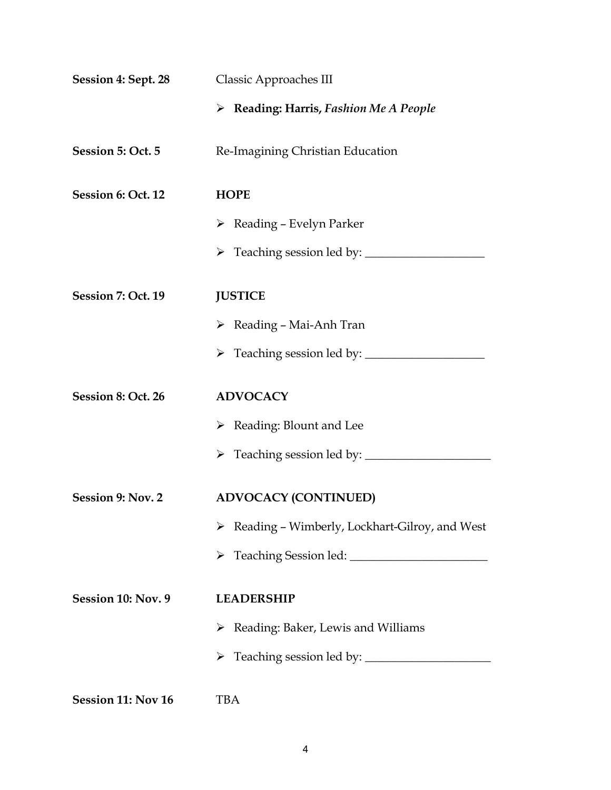| <b>Session 4: Sept. 28</b> | <b>Classic Approaches III</b>                                  |  |
|----------------------------|----------------------------------------------------------------|--|
|                            | $\triangleright$ Reading: Harris, Fashion Me A People          |  |
| Session 5: Oct. 5          | Re-Imagining Christian Education                               |  |
| Session 6: Oct. 12         | <b>HOPE</b>                                                    |  |
|                            | $\triangleright$ Reading - Evelyn Parker                       |  |
|                            |                                                                |  |
| Session 7: Oct. 19         | <b>JUSTICE</b>                                                 |  |
|                            | $\triangleright$ Reading – Mai-Anh Tran                        |  |
|                            | > Teaching session led by: _________                           |  |
| Session 8: Oct. 26         | <b>ADVOCACY</b>                                                |  |
|                            | $\triangleright$ Reading: Blount and Lee                       |  |
|                            | > Teaching session led by: ______                              |  |
| Session 9: Nov. 2          | <b>ADVOCACY (CONTINUED)</b>                                    |  |
|                            | $\triangleright$ Reading - Wimberly, Lockhart-Gilroy, and West |  |
|                            | ➤                                                              |  |
| Session 10: Nov. 9         | <b>LEADERSHIP</b>                                              |  |
|                            | Reading: Baker, Lewis and Williams<br>➤                        |  |
|                            |                                                                |  |
| Session 11: Nov 16         | <b>TBA</b>                                                     |  |